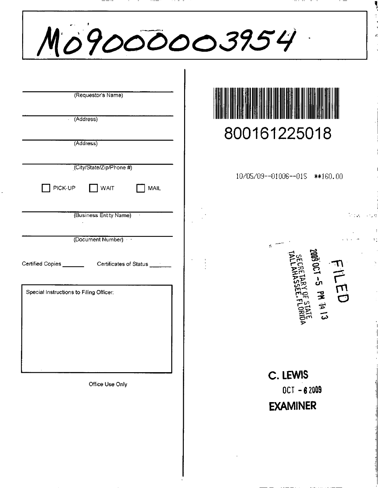| Mo9000003954                                                                                             |                                              |
|----------------------------------------------------------------------------------------------------------|----------------------------------------------|
| (Requestor's Name)<br>(Address)                                                                          | 800161225018                                 |
| (Address)<br>(City/State/Zip/Phone #)<br>PICK-UP<br>WAIT<br><b>MAIL</b>                                  | 10/05/09--01006--015 ***160.00               |
| (Business Entity Name)<br>$\sim$ $\sim$<br>(Document Number)                                             | $\sim 100$                                   |
| Certified Copies _______________Certificates of Status ______<br>Special Instructions to Filing Officer: | لم<br>م<br>m<br>D                            |
|                                                                                                          | <b>EN 1913</b>                               |
| Office Use Only                                                                                          | C. LEWIS<br>$0CT - 62009$<br><b>EXAMINER</b> |
|                                                                                                          |                                              |

÷  $\bar{\tau}$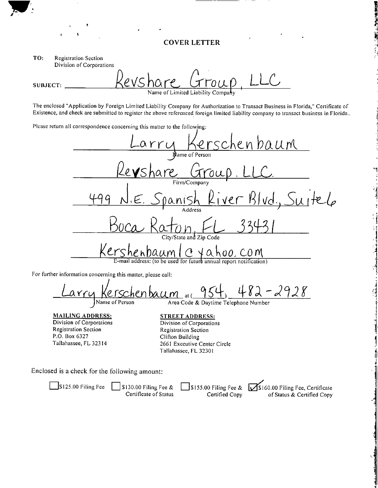## **COVER LETTER**

TO: **Registration Section** Division of Corporations

SUBJECT: Name of Limited Liability

The enclosed "Application by Foreign Limited Liability Company for Authorization to Transact Business in Florida," Certificate of Existence, and check are submitted to register the above referenced foreign limited liability company to transact business in Florida..

Please return all correspondence concerning this matter to the following:



For further information concerning this matter, please call:

2928 enbaum クとし  $at$   $\ell$ Name of Person Area Code & Daytime Telephone Number

**MAILING ADDRESS:** Division of Corporations **Registration Section** P.O. Box 6327 Tallahassee, FL 32314

**STREET ADDRESS:** Division of Corporations **Registration Section** Clifton Building 2661 Executive Center Circle Tallahassee, FL 32301

Enclosed is a check for the following amount:

 $\Box$ S125.00 Filing Fee  $\Box$  S130.00 Filing Fee &  $\frac{1}{2}$ \$155.00 Filing Fee &  $\frac{1}{2}$ \$160.00 Filing Fee, Certificate Certificate of Status Certified Copy of Status & Certified Copy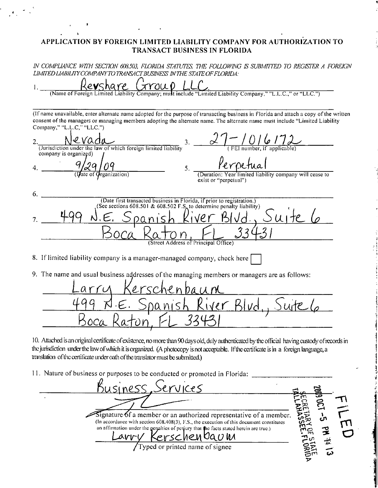## APPLICATION BY FOREIGN LIMITED LIABILITY COMPANY FOR AUTHORIZATION TO TRANSACT BUSINESS IN FLORIDA

IN COMPLIANCE WITH SECTION 608.503, FLORIDA STATUTES, THE FOLLOWING IS SUBMITTED TO REGISTER A FOREIGN LIMITED LIABILITY COMPANY TO TRANSACT BUSINESS IN THE STATE OF FLORIDA:

e**v**share  $xrow0$ (Name of Foreign Limited Liability Company; must include "Limited Liability Company," "L.L.C.," or "LLC.") (If name unavailable, enter alternate name adopted for the purpose of transacting business in Florida and attach a copy of the written consent of the managers or managing members adopting the alternate name. The alternate name must include "Limited Liability Company," "L.L.C," "LLC.")  $\frac{1}{2}$  of  $\frac{1}{2}$ evaga 2. 3. (Jurisdiction under the law of which foreign limited liability company is organized)  $\overline{q}$ 5. 4. limited liability company will cease to *Grganization*) (Duration: exist or "perpetual") 6. (Date first transacted business in Florida, if prior to registration.) (See sections 608.501 & 608.502 F.S. to determine penalty liability)  $u$ <sub>1</sub> te 7. (Street Address of Principal Office) 8. If limited liability company is a manager-managed company, check here 9. The name and usual business addresses of the managing members or managers are as follows: iver Blud

10. Attached is an original certificate of existence, no more than 90 days old, duly authenticated by the official having custody of records in the jurisdiction under the law of which it is organized. (A photocopy is not acceptable. If the certificate is in a foreign language, a translation of the certificate under oath of the translator must be submitted.)

11. Nature of business or purposes to be conducted or promoted in Florida:

ervices SINESS  $\sim$ Signature 6f a member or an authorized representative of a member. (In accordance with section  $608,408(3)$ , F.S., the execution of this document constitutes an affirmation under the penalties of perjury that the facts stated herein are true.) <u>Y Kerschenbaum</u><br>Typed or printed name of signee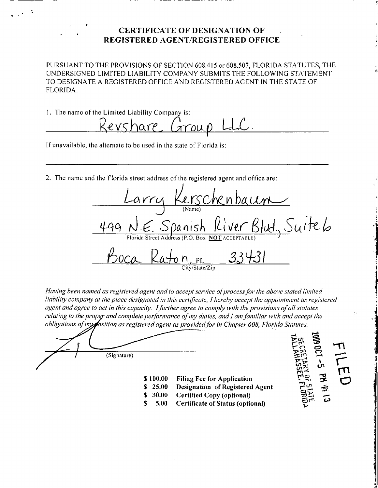## **CERTIFICATE OF DESIGNATION OF** REGISTERED AGENT/REGISTERED OFFICE

PURSUANT TO THE PROVISIONS OF SECTION 608.415 or 608.507, FLORIDA STATUTES, THE UNDERSIGNED LIMITED LIABILITY COMPANY SUBMITS THE FOLLOWING STATEMENT TO DESIGNATE A REGISTERED OFFICE AND REGISTERED AGENT IN THE STATE OF FLORIDA.

1. The name of the Limited Liability Company is:

Revshare  $ATOU$ 

If unavailable, the alternate to be used in the state of Florida is:

2. The name and the Florida street address of the registered agent and office are:

 $N.\epsilon$ . Spanish River Suite6  $BIud.$ ity/State/Zin

Having been named as registered agent and to accept service of process for the above stated limited liability company at the place designated in this certificate, I hereby accept the appointment as registered agent and agree to act in this capacity. I further agree to comply with the provisions of all statutes relating to the proper and complete performance of my duties, and I am familiar with and accept the obligations of mygosition as registered agent as provided for in Chapter 608, Florida Statutes.

\$100.00 Filing Fee for Application

Designation of Registered Agent

**Certificate of Status (optional)** 

Certified Copy (optional)

(Signature)

 $$25.00$ 

 $$30.00$ 

5.00

S